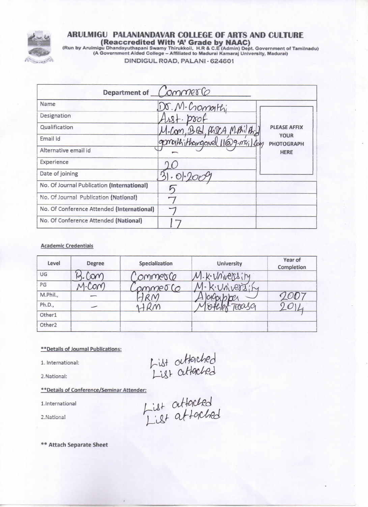

# ARULMIGU PALANIANDAVAR COLLEGE OF ARTS AND CULTURE

(Run by Arulmigu Dhandayuthapani Swamy Thirukkoil, H.R & C.E (Admin) Dept. Government of Tamilnadu)<br>(A Government Aided College – Affiliated to Madurai Kamaraj University, Madurai) DINDIGUL ROAD, PALANI - 624601

|                                            | Department of CommerCo                                             |
|--------------------------------------------|--------------------------------------------------------------------|
| Name                                       | Dr. M. Cromothi                                                    |
| Designation                                |                                                                    |
| Qualification                              | <b>PLEASE AFFIX</b><br>Bel Prizz<br>Mphilh                         |
| Email id                                   | <b>YOUR</b><br>gongthithougoual 11@9.nril dan<br><b>PHOTOGRAPH</b> |
| Alternative email id                       | <b>HERE</b>                                                        |
| Experience                                 |                                                                    |
| Date of joining                            |                                                                    |
| No. Of Journal Publication (International) |                                                                    |
| No. Of Journal Publication (National)      |                                                                    |
| No. Of Conference Attended (International) |                                                                    |
| No. Of Conference Attended (National)      |                                                                    |

#### **Academic Credentials**

| Level              | Degree   | Specialization | <b>University</b> | Year of<br>Completion |
|--------------------|----------|----------------|-------------------|-----------------------|
| UG                 |          | ommesce        | 1. K. Voiversity  |                       |
| PG                 | $\Omega$ | mmerco         | K. Univers        |                       |
| M.Phil.,           |          |                |                   |                       |
| Ph.D.,             | 一        |                | retaga            | $\overline{v}$        |
| Other1             |          |                |                   |                       |
| Other <sub>2</sub> |          |                |                   |                       |

#### \*\* Details of Journal Publications:

1. International:

2.National:

\*\* Details of Conference/Seminar Attender:

1.International

2.National

hist attached<br>List attached<br>List attached

\*\* Attach Separate Sheet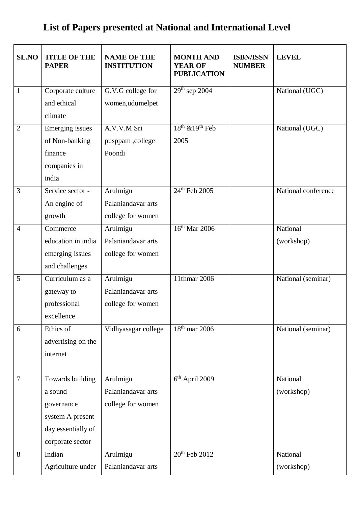### **List of Papers presented at National and International Level**

| <b>SL.NO</b>   | <b>TITLE OF THE</b><br><b>PAPER</b> | <b>NAME OF THE</b><br><b>INSTITUTION</b> | <b>MONTH AND</b><br><b>YEAR OF</b><br><b>PUBLICATION</b> | <b>ISBN/ISSN</b><br><b>NUMBER</b> | <b>LEVEL</b>        |
|----------------|-------------------------------------|------------------------------------------|----------------------------------------------------------|-----------------------------------|---------------------|
| $\mathbf{1}$   | Corporate culture<br>and ethical    | G.V.G college for                        | $29th$ sep 2004                                          |                                   | National (UGC)      |
|                | climate                             | women,udumelpet                          |                                                          |                                   |                     |
| $\overline{2}$ | <b>Emerging</b> issues              | A.V.V.M Sri                              | $18th$ & $19th$ Feb                                      |                                   | National (UGC)      |
|                | of Non-banking                      | pusppam,college                          | 2005                                                     |                                   |                     |
|                | finance                             | Poondi                                   |                                                          |                                   |                     |
|                | companies in                        |                                          |                                                          |                                   |                     |
|                | india                               |                                          |                                                          |                                   |                     |
| 3              | Service sector -                    | Arulmigu                                 | 24 <sup>th</sup> Feb 2005                                |                                   | National conference |
|                | An engine of                        | Palaniandavar arts                       |                                                          |                                   |                     |
|                | growth                              | college for women                        |                                                          |                                   |                     |
| $\overline{4}$ | Commerce                            | Arulmigu                                 | $16th$ Mar 2006                                          |                                   | National            |
|                | education in india                  | Palaniandavar arts                       |                                                          |                                   | (workshop)          |
|                | emerging issues<br>and challenges   | college for women                        |                                                          |                                   |                     |
| 5              | Curriculum as a                     | Arulmigu                                 | 11thmar 2006                                             |                                   | National (seminar)  |
|                | gateway to                          | Palaniandavar arts                       |                                                          |                                   |                     |
|                | professional                        | college for women                        |                                                          |                                   |                     |
|                | excellence                          |                                          |                                                          |                                   |                     |
| 6              | Ethics of                           | Vidhyasagar college                      | $18th$ mar 2006                                          |                                   | National (seminar)  |
|                | advertising on the                  |                                          |                                                          |                                   |                     |
|                | internet                            |                                          |                                                          |                                   |                     |
| $\overline{7}$ | Towards building                    | Arulmigu                                 | 6 <sup>th</sup> April 2009                               |                                   | National            |
|                | a sound                             | Palaniandavar arts                       |                                                          |                                   | (workshop)          |
|                | governance                          | college for women                        |                                                          |                                   |                     |
|                | system A present                    |                                          |                                                          |                                   |                     |
|                | day essentially of                  |                                          |                                                          |                                   |                     |
|                | corporate sector                    |                                          |                                                          |                                   |                     |
| 8              | Indian                              | Arulmigu                                 | 20 <sup>th</sup> Feb 2012                                |                                   | National            |
|                | Agriculture under                   | Palaniandavar arts                       |                                                          |                                   | (workshop)          |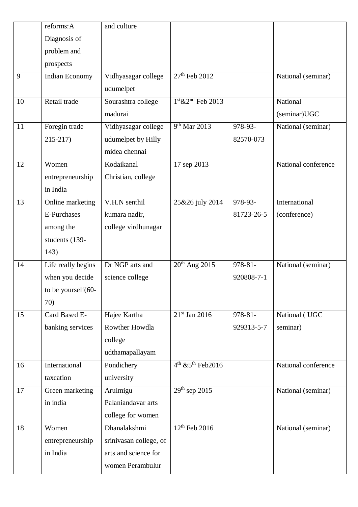|    | reforms: A         | and culture            |                                 |            |                     |
|----|--------------------|------------------------|---------------------------------|------------|---------------------|
|    | Diagnosis of       |                        |                                 |            |                     |
|    | problem and        |                        |                                 |            |                     |
|    | prospects          |                        |                                 |            |                     |
| 9  | Indian Economy     | Vidhyasagar college    | 27 <sup>th</sup> Feb 2012       |            | National (seminar)  |
|    |                    | udumelpet              |                                 |            |                     |
| 10 | Retail trade       | Sourashtra college     | $1st$ &2 <sup>nd</sup> Feb 2013 |            | National            |
|    |                    | madurai                |                                 |            | (seminar)UGC        |
| 11 | Foregin trade      | Vidhyasagar college    | 9 <sup>th</sup> Mar 2013        | 978-93-    | National (seminar)  |
|    | $215 - 217$        | udumelpet by Hilly     |                                 | 82570-073  |                     |
|    |                    | midea chennai          |                                 |            |                     |
| 12 | Women              | Kodaikanal             | 17 sep 2013                     |            | National conference |
|    | entrepreneurship   | Christian, college     |                                 |            |                     |
|    | in India           |                        |                                 |            |                     |
| 13 | Online marketing   | V.H.N senthil          | 25&26 july 2014                 | 978-93-    | International       |
|    | <b>E-Purchases</b> | kumara nadir,          |                                 | 81723-26-5 | (conference)        |
|    | among the          | college virdhunagar    |                                 |            |                     |
|    | students (139-     |                        |                                 |            |                     |
|    | 143)               |                        |                                 |            |                     |
| 14 | Life really begins | Dr NGP arts and        | $20^{th}$ Aug 2015              | 978-81-    | National (seminar)  |
|    | when you decide    | science college        |                                 | 920808-7-1 |                     |
|    | to be yourself(60- |                        |                                 |            |                     |
|    | 70)                |                        |                                 |            |                     |
| 15 | Card Based E-      | Hajee Kartha           | $21st$ Jan 2016                 | 978-81-    | National (UGC       |
|    | banking services   | Rowther Howdla         |                                 | 929313-5-7 | seminar)            |
|    |                    | college                |                                 |            |                     |
|    |                    | udthamapallayam        |                                 |            |                     |
| 16 | International      | Pondichery             | $4th$ & 5 <sup>th</sup> Feb2016 |            | National conference |
|    | taxcation          | university             |                                 |            |                     |
| 17 | Green marketing    | Arulmigu               | $29th$ sep 2015                 |            | National (seminar)  |
|    | in india           | Palaniandavar arts     |                                 |            |                     |
|    |                    | college for women      |                                 |            |                     |
| 18 | Women              | Dhanalakshmi           | 12 <sup>th</sup> Feb 2016       |            | National (seminar)  |
|    | entrepreneurship   | srinivasan college, of |                                 |            |                     |
|    | in India           | arts and science for   |                                 |            |                     |
|    |                    | women Perambulur       |                                 |            |                     |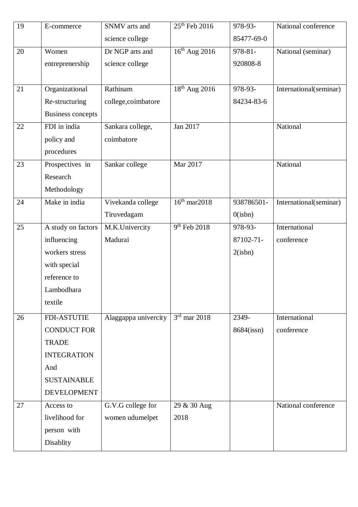| 19 | E-commerce               | SNMV arts and        | 25 <sup>th</sup> Feb 2016 | 978-93-    | National conference    |
|----|--------------------------|----------------------|---------------------------|------------|------------------------|
|    |                          | science college      |                           | 85477-69-0 |                        |
| 20 | Women                    | Dr NGP arts and      | $16th$ Aug 2016           | 978-81-    | National (seminar)     |
|    | entreprenership          | science college      |                           | 920808-8   |                        |
|    |                          |                      |                           |            |                        |
| 21 | Organizational           | Rathinam             | 18 <sup>th</sup> Aug 2016 | 978-93-    | International(seminar) |
|    | Re-structuring           | college,coimbatore   |                           | 84234-83-6 |                        |
|    | <b>Business concepts</b> |                      |                           |            |                        |
| 22 | FDI in india             | Sankara college,     | Jan 2017                  |            | National               |
|    | policy and               | coimbatore           |                           |            |                        |
|    | procedures               |                      |                           |            |                        |
| 23 | Prospectives in          | Sankar college       | Mar 2017                  |            | National               |
|    | Research                 |                      |                           |            |                        |
|    | Methodology              |                      |                           |            |                        |
| 24 | Make in india            | Vivekanda college    | $16th$ mar2018            | 938786501- | International(seminar) |
|    |                          | Tiruvedagam          |                           | 0(ishn)    |                        |
| 25 | A study on factors       | M.K.Univercity       | 9 <sup>th</sup> Feb 2018  | 978-93-    | International          |
|    | influencing              | Madurai              |                           | 87102-71-  | conference             |
|    | workers stress           |                      |                           | 2(ishn)    |                        |
|    | with special             |                      |                           |            |                        |
|    | reference to             |                      |                           |            |                        |
|    | Lambodhara               |                      |                           |            |                        |
|    | textile                  |                      |                           |            |                        |
| 26 | FDI-ASTUTIE              | Alaggappa univercity | $3rd$ mar 2018            | 2349-      | International          |
|    | <b>CONDUCT FOR</b>       |                      |                           | 8684(issn) | conference             |
|    | <b>TRADE</b>             |                      |                           |            |                        |
|    | <b>INTEGRATION</b>       |                      |                           |            |                        |
|    | And                      |                      |                           |            |                        |
|    | <b>SUSTAINABLE</b>       |                      |                           |            |                        |
|    | <b>DEVELOPMENT</b>       |                      |                           |            |                        |
| 27 | Access to                | G.V.G college for    | 29 & 30 Aug               |            | National conference    |
|    | livelihood for           | women udumelpet      | 2018                      |            |                        |
|    | person with              |                      |                           |            |                        |
|    | Disablity                |                      |                           |            |                        |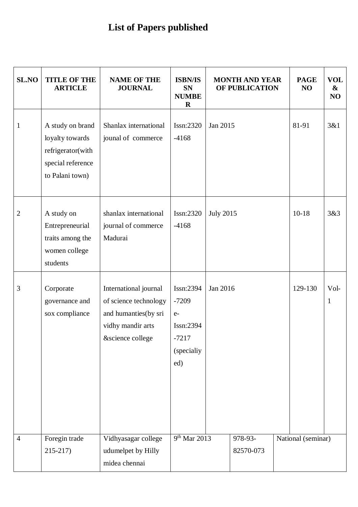## **List of Papers published**

| SL.NO          | <b>TITLE OF THE</b><br><b>ARTICLE</b>                                                            | <b>NAME OF THE</b><br><b>JOURNAL</b>                                                                            | <b>ISBN/IS</b><br><b>SN</b><br><b>NUMBE</b><br>$\bf R$                   |                  | <b>MONTH AND YEAR</b><br>OF PUBLICATION | <b>PAGE</b><br>NO  | <b>VOL</b><br>&<br>NO |
|----------------|--------------------------------------------------------------------------------------------------|-----------------------------------------------------------------------------------------------------------------|--------------------------------------------------------------------------|------------------|-----------------------------------------|--------------------|-----------------------|
| $\mathbf{1}$   | A study on brand<br>loyalty towards<br>refrigerator(with<br>special reference<br>to Palani town) | Shanlax international<br>jounal of commerce                                                                     | Issn:2320<br>$-4168$                                                     | Jan 2015         |                                         | 81-91              | 3&1                   |
| $\mathbf{2}$   | A study on<br>Entrepreneurial<br>traits among the<br>women college<br>students                   | shanlax international<br>journal of commerce<br>Madurai                                                         | Issn:2320<br>$-4168$                                                     | <b>July 2015</b> |                                         | $10 - 18$          | 3&3                   |
| 3              | Corporate<br>governance and<br>sox compliance                                                    | International journal<br>of science technology<br>and humanties(by sri<br>vidhy mandir arts<br>&science college | Issn:2394<br>$-7209$<br>$e-$<br>Issn:2394<br>-7217<br>(specialiy)<br>ed) | Jan 2016         |                                         | 129-130            | Vol-<br>1             |
| $\overline{4}$ | Foregin trade<br>$215 - 217$                                                                     | Vidhyasagar college<br>udumelpet by Hilly<br>midea chennai                                                      | 9 <sup>th</sup> Mar 2013                                                 |                  | 978-93-<br>82570-073                    | National (seminar) |                       |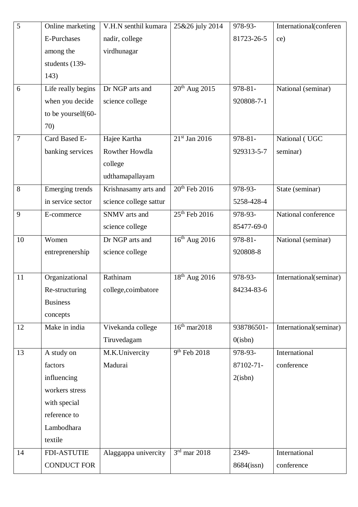| 5  | Online marketing   | V.H.N senthil kumara   | 25&26 july 2014           | 978-93-      | International(conferen |
|----|--------------------|------------------------|---------------------------|--------------|------------------------|
|    | <b>E-Purchases</b> | nadir, college         |                           | 81723-26-5   | ce)                    |
|    | among the          | virdhunagar            |                           |              |                        |
|    | students (139-     |                        |                           |              |                        |
|    | 143)               |                        |                           |              |                        |
| 6  | Life really begins | Dr NGP arts and        | $20th$ Aug $2015$         | 978-81-      | National (seminar)     |
|    | when you decide    | science college        |                           | 920808-7-1   |                        |
|    | to be yourself(60- |                        |                           |              |                        |
|    | 70)                |                        |                           |              |                        |
| 7  | Card Based E-      | Hajee Kartha           | $21st$ Jan 2016           | $978 - 81 -$ | National (UGC          |
|    | banking services   | Rowther Howdla         |                           | 929313-5-7   | seminar)               |
|    |                    | college                |                           |              |                        |
|    |                    | udthamapallayam        |                           |              |                        |
| 8  | Emerging trends    | Krishnasamy arts and   | 20 <sup>th</sup> Feb 2016 | 978-93-      | State (seminar)        |
|    | in service sector  | science college sattur |                           | 5258-428-4   |                        |
| 9  | E-commerce         | SNMV arts and          | 25 <sup>th</sup> Feb 2016 | 978-93-      | National conference    |
|    |                    | science college        |                           | 85477-69-0   |                        |
| 10 | Women              | Dr NGP arts and        | $16^{th}$ Aug 2016        | $978 - 81 -$ | National (seminar)     |
|    | entreprenership    | science college        |                           | 920808-8     |                        |
|    |                    |                        |                           |              |                        |
| 11 | Organizational     | Rathinam               | 18 <sup>th</sup> Aug 2016 | 978-93-      | International(seminar) |
|    | Re-structuring     | college,coimbatore     |                           | 84234-83-6   |                        |
|    | <b>Business</b>    |                        |                           |              |                        |
|    | concepts           |                        |                           |              |                        |
| 12 | Make in india      | Vivekanda college      | $16th$ mar2018            | 938786501-   | International(seminar) |
|    |                    | Tiruvedagam            |                           | 0(ishn)      |                        |
| 13 | A study on         | M.K.Univercity         | 9 <sup>th</sup> Feb 2018  | 978-93-      | International          |
|    | factors            | Madurai                |                           | 87102-71-    | conference             |
|    | influencing        |                        |                           | 2(ishn)      |                        |
|    | workers stress     |                        |                           |              |                        |
|    | with special       |                        |                           |              |                        |
|    | reference to       |                        |                           |              |                        |
|    | Lambodhara         |                        |                           |              |                        |
|    | textile            |                        |                           |              |                        |
| 14 | <b>FDI-ASTUTIE</b> | Alaggappa univercity   | $3rd$ mar 2018            | 2349-        | International          |
|    | <b>CONDUCT FOR</b> |                        |                           | 8684(issn)   | conference             |